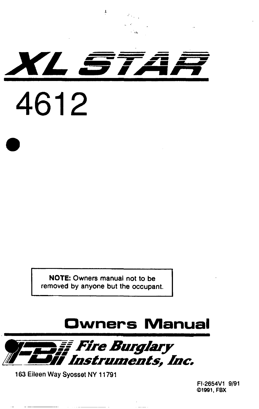

NOTE: Owners manual not to be removed by anyone but the occupant.

# Owners Manual



163 Eileen Way Syosset NY 11791

a

FI-2654Vl 9191 01991, FBX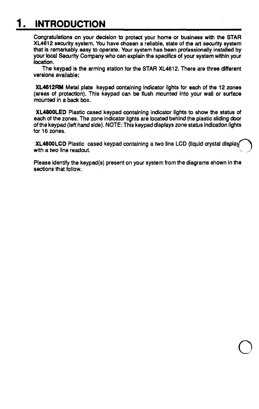### **INTRODUCTION**

Congratulations on your decision to protect your home or business with the STAR XL4612 security system. You have chosen a reliable, state of the art security system that is remarkably easy to operate. Your system has been professionally installed by your iocal Security Company who can explain the specifics of your system within your location.

The keypad is the arming station for the STAR XL4612. There are three different versions available;

XL4612RM Metal plate keypad containing indicator lights for each of the 12 zones (areas of protection). This keypad can be flush mounted into your wall or surface mounted in a back box.

XL4600LED Plastic cased keypad containing indicator lights to show the status of each of the zones. The zone indicator lights are located behind the plastic sliding door of the keypad (left hand side). NOTE: This keypad displays zone status indication lights for 16 zones.

XL46OOLCD Plastic cased keypad containing a two line LCD (Ilquid crystal displa with a two line readout.

Please identify the keypad(s) present on your system from the diagrams shown in the sections that follow.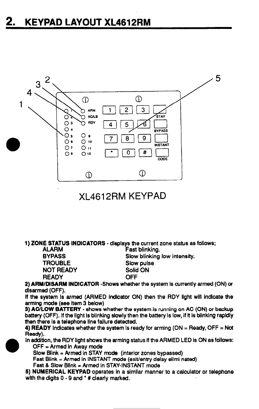

### XL461 2RM KEYPAD

1) ZONE STATUS INDICATORS - displays the current zone status as follows;

ALARM Fast blinking.<br>RYPASS Slow blinking. NOT READY Solid<br>READY OFF **READY** 

BYPASS Slow blinking low intensity.<br>TROUBLE Slow pulse Slow pulse<br>Solid ON

2) ARM/DISARM INDICATOR -Shows whether the system is currently armed (ON) or disarmed (OFF).

If the system is armed (ARMED indicator ON) then the RDY light will indicate the arming mode (see item 3 below)

3) AC/LOW BATTERY - shows whether the system is running on AC (ON) or backup battery (OFF). If the light Is blinking slowly then the battery is low, If it is blinking rapidly then there is a telephone line failure detected.

4) READY Indicates whether the system is ready for arming (ON  $=$  Ready, OFF  $=$  Not Ready).

In addition, the RDY light shows the arming status if the ARMED LED is ON as follows:  $OFF = Armed$  in Away mode

 $Slow Blink = Armed in STAY mode$  (interior zones bypassed)

Fast Blink = Armed in INSTANT mode (exit/entry delay elimi nated)

Fast & Slow Blink  $=$  Armed in STAY-INSTANT mode

5) NUMERICAL KEYPAD operates in a similar manner to a calculator or telephone with the digits  $0 - 9$  and  $*$  # clearly marked.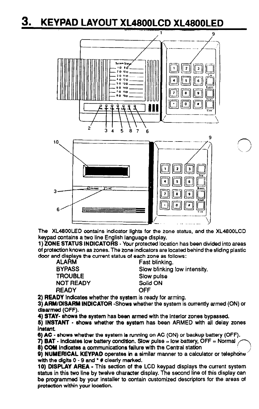### 3. KEYPAD LAYOUT XL4800LCD XL4800LED



The XL4800LED contains indicator lights for the zone status, and the XL4800LCD keypad contains a two line English language display.

1) ZONE STATUS INDICATORS - Your protected location has been divided into areas of protection known as zones. The zone indicators are located behind the sliding plastic door and displays the current status of each zone as follows:

ALARM Fast blinking.<br>BYPASS Slow blinking. TROUBLE Slow pulse NOT READY Solid ON<br>READY CFF **READY** 

Slow blinking low intensity.

 $\diagup$ 

2) READY Indicates whether the system is ready for arming.

3) ARM/DISARM INDICATOR -Shows whether the system is currently armed (ON) or disarmed (OFF).

4) STAY- shows the system has been armed with the interior zones bypassed.

5) INSTANT - shows whether the system has been ARMED with all delay zones instant

6) AC - shows whether the system is running on AC (ON) or backup battery (OFF).

7) **BAT** - Indicates low battery condition. Slow pulse  $=$  low battery, OFF  $=$  Normal

8) COM Indicates a communications failure with the Central station

9) NUMERICAL KEYPAD operates in a similar manner to a calculator or telephone with the digits  $0 - 9$  and  $*$  # clearly marked.

10) DISPLAY AREA - This section of the LCD keypad displays the current system status in this two line by twelve character display. The second line of this display can be programmed by your installer to contain customized descriptors for the areas of protection within your location.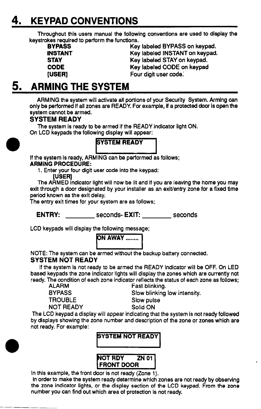## 4. KEYPAD CONVENTIONS

Throughout this users manual the following conventions are used to display the keystrokes required to perform the functions.<br>BYPASS Key

**BYPASS Key labeled BYPASS on keypad.**<br> **Key labeled INSTANT on keypad.**<br>
Key labeled INSTANT on keypad. INSTANT Key labeled INSTANT on keypad.<br>
STAY Mev labeled STAY on keypad. STAY **Key labeled STAY on keypad.**<br>CODE **Reader CODE Key labeled CODE** on keypad. CODE Key labeled CODE on keypad<br>
Key labeled CODE on keypad<br>
Four digit user code. Four digit user code.

### 5. ARMING THE SYSTEM

ARMING the system will activate all portions of your Security System. Arming can only be performed if ail zones are READY. For example, if a protected door is open the system cannot be armed.

#### SYSTEM READY

The system is ready to be armed if the READY indicator light ON. On LCD keypads the following display will appear:

#### **SYSTEM READY**

<u>La provinc</u> if the system is ready, ARMING can be performed as follows; ARMING PROCEDURE:

1. Enter your four digit user code into the keypad:

WERj The ARMED indicator light will now be lit and if you are leaving the home you may exit through a door designated by your installer as an exit/entry zone for a fixed time period known as the exit delay.

The entry exit times for your system are as follows;

ENTRY: \_\_\_\_\_\_\_\_\_\_ seconds- EXIT: \_\_\_\_\_\_\_\_\_ seconds

LCD keypads will display the following message;



NOTE: The system can be armed without the backup battery connected.

#### SYSTEM NOT READY

if the system is not ready to be armed the READY indicator will be OFF. On LED based keypads the zone indicator lights will display the zones which are currently not ready. The condition of each zone indicator reflects the status of each zone as follows;<br>ALARM Fast blinking.

ALARM Fast blinking.<br>BYPASS Slow blinking. BYPASS Slow blinking low intensity.

Slow pulse<br>Solid ON

**NOT READY** 

The LCD keypad a display will appear indicating that the system is not ready followed by displays showing the zone number and description of the zone or zones which are not ready. For example:



In this example, the front door is not ready (Zone 1).

in order to make the system ready determine which zones are not ready by observing the zone indicator lights, or the display section of the LCD keypad. From the zone number you can find out which area of protection is not ready.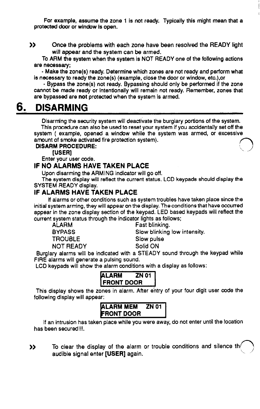For example, assume the zone 1 is not ready. Typically this might mean that a protected door or window Is open.

>> Once the problems with each zone have been resolved the READY light will appear and the system can be armed.

To ARM the system when the system is NOT READY one of the following actions are necessary;

- Make the zone(s) ready. Determine which zones are not ready and perform what is necessary to ready the zone(s) (example, close the door or window, etc.),or

- Bypass the zone(s) not ready. Bypassing should only be performed if the zone cannot be made ready or intentionally will remain not ready. Remember, zones that are bypassed are not protected when the system is armed.

### 6. DISARMING

Disarming the security system will deactivate the burglary portions of the system. This procedure can also be used to reset your system if you accidentally set off the system ( example, opened a window while the system was armed, or excessive amount of smoke activated fire protection system).

#### DISARM PROCEDURE: in those bone.<br>[USER]

Enter your user code.

#### IF NO ALARMS HAVE TAKEN PLACE

Upon disarming the ARMING indicator will go off.

The system display will reflect the current status. LCD keypads should display the SYSTEM READY display.

#### IF ALARMS HAVE TAKEN PLACE

if alarms or other conditions such as system troubles have taken place since the initial system arming, they will appear on the display. The conditions that have occurred appear in the zone display section of the keypad. LED based keypads will reflect the current system status through the indicator lights as follows;<br>ALARM Fast blinking.

TROUBLE Slow pulse

Fast blinking.

BYPASS Slow blinking low intensity.

NOT READY Solid ON

Burglary alarms will be indicated with a STEADY sound through the keypad while FIRE alarms will generate a pulsing sound.

LCD keypads will show the alarm conditions with a display as follows:



This display shows the zones in alarm. After entry of your four digit user code the following display will appear:

| <b>ALARM MEM</b>  | ZN 01 |
|-------------------|-------|
| <b>FRONT DOOR</b> |       |

if an intrusion has taken place while you were away, do not enter until the location has been secured!!!.

>> To clear the display of the alarm or trouble conditions and silence the audible signal enter [USER] again.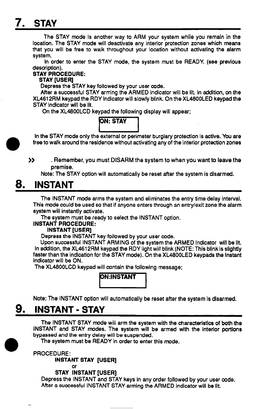## 7. STAY

The STAY mode is another way to ARM your system while you remain in the location. The STAY mode will deactivate any interior protection zones which means that you w/Ii be free to walk throughout your location without activating the alarm system.

In order to enter the STAY mode, the system must be READY. (see previous description).

#### STAY PROCEDURE:

#### STAY [USER]

Depress the STAY key followed by your user code.

After a successful STAY arming the ARMED indicator will be lit. In addition, on the XL461 2RM keypad the RDY indicator will slowly blink. On the XL4800LED keypad the STAY indicator wlli be lit.

On the XL48OOLCD keypad the following display will appear:

#### **ON: STAY** m

in the STAY mode only the external or perimeter burgiary protection is active. You are free to walk around the residence without activating any of the interior protection zones

>> . Remember, you must DISARM the system to when you want to leave the premise.

Note: The STAY option will automatically be reset after the system is disarmed.

### 8. INSTANT

The INSTANT mode arms the system and eliminates the entry time delay interval. This mode could be used so that if anyone enters through an entry/exit zone the alarm system will instantly activate.

The system must be ready to select the INSTANT option.

#### INSTANT PROCEDURE:

#### INSTANT [USER]

Depress the INSTANT key followed by your user code.

Upon successful INSTANT ARMING of the system the ARMED indicator will be lit. In addition, the XL4612RM keypad the RDY light will blink (NOTE: This blink is slightly faster than the indication for the STAY mode). On the XL4800LED keypads the instant indicator will be ON.

The XL48OOLCD keypad will contain the following message;

# ION:INSTANT

Note: The INSTANT option will automatically be reset after the system is disarmed.

### 9. INSTANT - STAY

The INSTANT STAY mode will arm the system with the characteristics of both the INSTANT and STAY modes. The system will be armed with the interior portions bypassed and the entry delay will be suspended.

The system must be READY in order to enter this mode.

PROCEDURE:

INSTANT STAY [USER]

#### **STAY INSTANT [USER]**

or

Depress the INSTANT and STAY keys in any order followed by your user code. After a successful INSTANT STAY arming the ARMED indicator will be lit.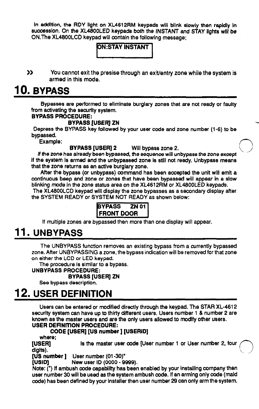in addition, the RDY light on XL4612RM keypads wlil blink slowly then rapldly in successlon. On the XL4800LED keypads both the INSTANT and STAY lights will be ON. The XL4800LCD keypad will contain the following message;

#### **ON:STAY INSTANT**

>> You cannot exit the presise through an exit/entry zone while the system is armed in this mode.

### 10. BYPASS

Bypasses are performed to eliminate burglary zones that are not ready or faulty from activating the security system.

#### BYPASS PROCEDURE:

#### BYPASS [USERJ ZN

Depress the BYPASS key followed by your user code and zone number (l-6) to be bypassed.

Example:

BYPASS [USER] 2 Will bypass zone 2.

lf the zone has already been bypassed, the sequence wlli unbypass the zone except If the system is armed and the unbypassed zone is still not ready. Unbypass means that the zone returns as an active burglary zone.

After the bypass (or unbypass) command has been accepted the unit will emit a continuous beep and zone or zones that have been bypassed will appear in a slow blinking mode in the zone status area on the XL461 2RM or XL4800LED keypads.

The XL4800LCD keypad will display the zone bypasses as a secondary display after the SYSTEM READY or SYSTEM NOT READY as shown below:

| <b>BYPASS</b>     | <b>ZN 011</b> |
|-------------------|---------------|
| <b>FRONT DOOR</b> |               |

if multiple zones are bypassed then more than one display will appear.

### 11. UNBYPASS

The UNBYPASS function removes an existing bypass from a currently bypassed zone. After UNBYPASSING a zone, the bypass indication will be removed for that zone on either the LCD or LED keypad.

The procedure is similar to a bypass.

#### UNBYPASS PROCEDURE:

#### BYPASS [USERJ ZN

See bypass description.

### 2. USER DEFINITION

Users can be entered or modified directly through the keypad. The STAR XL-461 2 security system can have up to thirty different users. Users number 1 & number 2 are known as the master users and are the only users allowed to modify other users. USER DEFINITION PROCEDURE:

#### CODE [USER] [US number] [USERID]

where;<br>[USER] digits). Is the master user code [User number 1 or User number 2, four

 $[US number]$  User number  $(01-30)^+$ 

New user ID (0000 - 9999). [USID]

Note: (\*) If ambush code capability has been enabled by your installing company then user number 30 wlil be used as the system ambush code. if an arming only code (maid code) has been defined by your installer then user number 29 can only arm the system.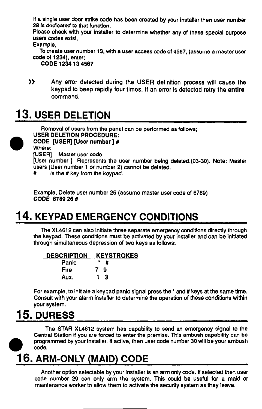if a single user door strike code has been created by your installer then user number 28 is dedicated to that function.

Please check with your installer to determine whether any of these spedal purpose users codes exist.

Example,

To create user number 13, with a user access code of 4567, (assume a master user code of 1234), enter;

CODE 1234 13 4667

 $\mathbf{z}$ Any error detected during the USER definition process will cause the keypad to beep rapidly four times. If an error is detected retry the entire command.

## 13. USER DELETION

Removal of users from the panel can be performed as follows; USER DELETION PROCEDURE: CODE [USER] [User number ] # Where: [USER] Master user code

[User number ] Represents the user number being deieted.(03-30). Note: Master users (User number 1 or number 2) cannot be deleted.

# is the # key from the keypad.

Example, Delete user number 26 (assume master user code of 6789) CODE 6789 26 #

## 14. KEYPAD EMERGENCY CONDITIONS

The XL461 2 can also initiate three separate emergency conditions directly through the keypad. These conditions must be activated by your installer and can be initiated through simultaneous depression of two keys as follows:

#### DESCRIPTION KEYSTROKES

| Panic | Ħ       |
|-------|---------|
| Fire  | 7<br>-9 |
| Aux.  | -3      |

For example, to initiate a keypad panic signal press the  $\cdot$  and # keys at the same time. Consult with your alarm installer to determine the operation of these conditions within your system.

## 15. DURESS

a

The STAR XL4612 system has capability to send an emergency signal to the Central Station if you are forced to enter the premise. This ambush capability can be programmed by your installer. lf active, then user code number 30 will be your ambush code.

### 16. ARM-ONLY (MAID) CODE

Another option selectable by your installer is an arm only code. If selected then user code number 29 can only arm the system. This could be useful for a maid or maintenance worker to allow them to activate the security system as they leave.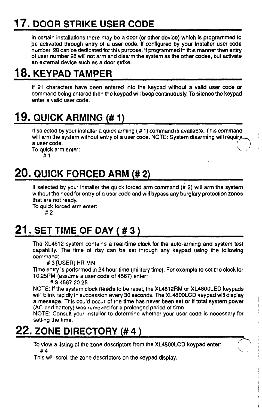## 17. DOOR STRIKE USER CODE

In certain installations there may be a door (or other device) which is programmed to be activated through entry of a user code. If configured by your installer user code number 28 can be dedicated for this purpose. It programmed In this manner then entry 01 user number 28 will not arm and disarm the system as the other codes, but activate an external device such as a door strike.

### 18. KEYPAD TAMPER

If 21 characters have been entered into the keypad without a valid user code or command being entered then the keypad will beep continuously. To silence the keypad enter a valid user code.

## 1% QUICK ARMING (# 1)

If selected by your installer a quick arming  $( # 1)$  command is available. This command will arm the system without entry of a user code. NOTE: System disarming will require. a user code.

To quick arm enter:

#l

## 20. QUICK FORCED ARM (# 2)

If selected by your installer the quick forced arm command  $(H 2)$  will arm the system without the need for entry of a user code and will bypass any burglary protection zones that are not ready.

To quick forced arm enter: #2

## 21. SET TIME OF DAY ( $#3$ )

The XL4612 system contains a real-time clock for the auto-arming and system test capability. The time of day can be set through any keypad using the following command:

# 3 [USER] HR MN

Time entry is performed in 24 hour time (military time). For example to set the clock for 10:25PM (assume a user code 014567) enter:

# 3 4567 20 25

NOTE: If the system clock needs to be reset, the XL4612RM or XL4800LED keypads will blink rapidly in succession every 30 seconds. The XL46OOLCD keypad will display a message. This could occur of the time has never been set or if total system power (AC and battery) was removed for a prolonged period 01 time.

NOTE: Consult your installer to determine whether your user code is necessary for setting the time.

 $\diagdown$ 

### 22. ZONE DIRECTORY (# 4 )

To view a listing of the zone descriptors from the XL46OOLCD keypad enter: #4

This will scroll the zone descriptors on the keypad display.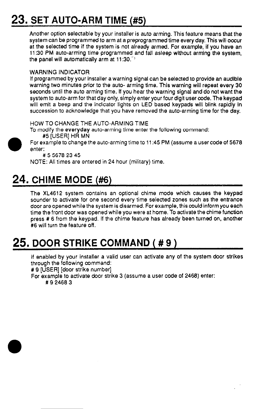# 23. SET AUTO-ARM TIME (#5)

Another option selectable by your installer is auto arming. This feature means that the system can be programmed to arm at a preprogrammed time every day. This will occur at the selected time if the system is not already armed. For example, if you have an 1130 PM auto-arming time programmed and fall asleep without arming the system, the panel will automatically arm at  $11:30^{-1}$ 

#### WARNING INDICATOR

If programmed by your installer a warning signal can be selected to provide an audible warning two minutes prior to the auto- arming time. This warning will repeat every 30 seconds until the auto arming time. If you hear the warning signal and do not want the system to auto-arm for that day only, simply enter your four digit user code. The keypad will emit a beep and the indicator lights on LED based keypads will blink rapidly in succession to acknowledge that you have removed the auto-arming time for the day.

HOW TO CHANGE THE AUTO-ARMING TIME

To modify the everyday auto-arming time enter the following command:



#5 [USER] HR MN

For example to change the auto-arming time to 11:45 PM (assume a user code 015678 enter:

#556782345

NOTE: All times are entered in 24 hour (military) time.

## 24. CHIME MODE (#6)

The XL4612 system contains an optional chime mode which causes the keypad sounder to activate for one second every time selected zones such as the entrance door are opened while the system is disarmed. For example, this could inform you each time the front door was opened while you were at home. To activate the chime function press # 6 from the keypad. If the chime feature has already been turned on, another #6 will turn the feature off.

## 25. DOOR STRIKE COMMAND (# 9 )

If enabled by your installer a valid user can activate any of the system door strikes through the following command:

# 9 [USER] [door strike number]

For example to activate door strike 3 (assume a user code 01 2466) enter: # 9 2468 3

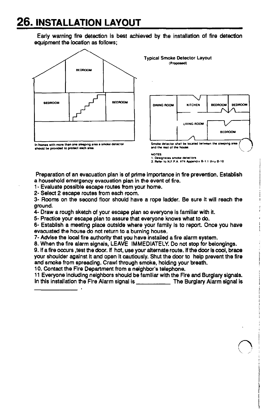### 26. INSTALLATION LAYOUT

Early warning fire detection is best achieved by the installation of fire detection equipment the location as follows;





**NOTES** 1. Designates smoke detectors<br>2. Refer to N.F.P.A. #74 Appendix B-1.1 thru B-10

Preparation of an evacuation plan is of prime importance in fire prevention. Establish a household emergency evacuation plan In the event of fire.

1 - Evaluate possible escape routes from your home.

2- Select 2 escape routes from each room.

3- Rooms on the second floor should have a rope ladder. Be sure it will reach the ground.

4- Draw a rough sketch 01 your escape plan so everyone is familiar with it.

5- Practice your escape plan to assure that everyone knows what to do.

6- Establish a meeting place outside where your family Is to report. Once you have evacuated the house do not return to a burning house.

7- Advise the local fire authority that you have installed a fire alarm system.

8. When the fire alarm signals, LEAVE IMMEDIATELY. Do not stop for belonglngs.

9. If a fire occurs , test the door. If hot, use your alternate route. If the door is cool, brace your shoulder against it and open It cautiously. Shut the door to help prevent the fire and smoke from spreading. Crawl through smoke, holding your breath.

10. Contact the Fire Department from a neighbor's telephone.

11 Everyone induding neighbors should be familiar with the Fire and Burglary signals. In this installation the Fire Alarm signal is The Burglary Alarm signal is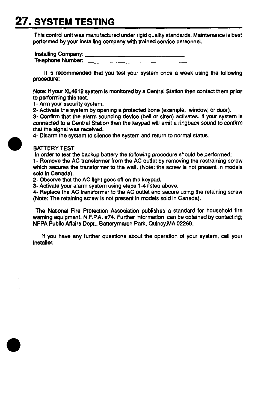## 27. SYSTEM TESTING

Thls control unit was manufactured under rigid quality standards. Maintenance is best performed by your installing company with trained service personnel.

| Installing Company: |  |
|---------------------|--|
| Telephone Number:   |  |

It is recommended that you test your system once a week using the following procedure:

Note: if your XL4612 system Is monitored by a Central Statlon then contact them prior to performing this test.

l- Arm your security system.

2- Activate the system by opening a protected zone (example, window, or door).

3- Confirm that the alarm sounding device (bell or siren) activates. tt your system is connected to a Central Station then the keypad will emit a ringback sound to confirm that the signal was received.

4- Disarm the system to silence the system and return to normal status.

#### BATTERY TEST

In order to test the backup battery the following procedure should be performed;

l- Remove the AC transformer from the AC outlet by removing the restraining screw which secures the transformer to the wall. (Note: the screw is not present in models sold in Canada).

2. Observe that the AC light goes off on the keypad.

3- Activate your alarm system using steps 1-4 listed above.

4- Replace the AC transformer to the AC outlet and secure using the retaining screw (Note: The retaining screw is not present in models sold in Canada).

The National Fire Protection Assodation publishes a standard for household fire warning equipment. N.F.P.A. #74. Further information can be obtained by contacting; NFPA Public Affairs Dept., Batterymarch Park, Quincy,MA 02269.

lf you have any further questions about the operation 01 your system, call your installer.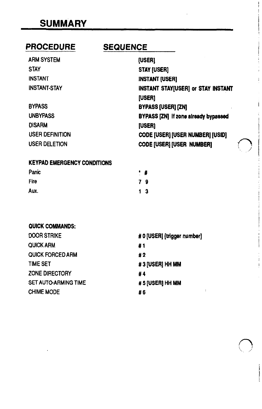### **SUMMARY**

### PROCEDURE

### **SEQUENCE**

i

| <b>ARM SYSTEM</b>      | <b>(USER)</b>                               |
|------------------------|---------------------------------------------|
| <b>STAY</b>            | <b>STAY [USER]</b>                          |
| <b>INSTANT</b>         | <b>INSTANT [USER]</b>                       |
| <b>INSTANT-STAY</b>    | INSTANT STAY[USER] or STAY INSTANT          |
|                        | <b>IUSERI</b>                               |
| <b>BYPASS</b>          | <b>BYPASS (USER) [ZN]</b>                   |
| <b>UNBYPASS</b>        | <b>BYPASS [ZN] If zone already bypassed</b> |
| <b>DISARM</b>          | <b>[USER]</b>                               |
| <b>USER DEFINITION</b> | <b>CODE [USER] [USER NUMBER] [USID]</b>     |
| <b>USER DELETION</b>   | <b>CODE [USER] [USER NUMBER]</b>            |

#### KEYPAD EMERGENCY CONDITIONS

| Panic | ٠ | #              |
|-------|---|----------------|
| Fire  |   | 79             |
| Aux.  |   | 1 <sup>3</sup> |

#### QUICK COMMANDS:

| <b>DOOR STRIKE</b>          | # 0 [USER] [trigger number] |
|-----------------------------|-----------------------------|
| <b>QUICK ARM</b>            | #1                          |
| <b>QUICK FORCED ARM</b>     | #2                          |
| <b>TIME SET</b>             | #3 [USER] HH MM             |
| <b>ZONE DIRECTORY</b>       | #4                          |
| <b>SET AUTO-ARMING TIME</b> | # 5 [USER] HH MM            |
| <b>CHIME MODE</b>           | #6                          |
|                             |                             |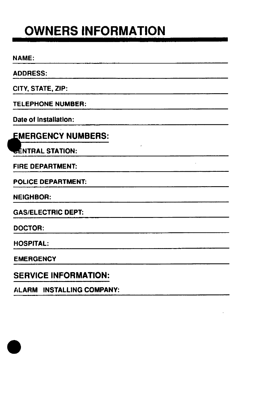# OWNERS INFORMATION

NAME:

ADDRESS:

CITY, STATE, ZIP:

TELEPHONE NUMBER:

Date of Installation:

**EMERGENCY NUMBERS:** 

**EENTRAL STATION:** 

FIRE DEPARTMENT:

POLICE DEPARTMENT:

NEIGHBOR:

GAS/ELECTRIC DEPT:

DOCTOR:

HOSPITAL:

**EMERGENCY** 

SERVICE INFORMATION:

ALARM INSTALLING COMPANY: